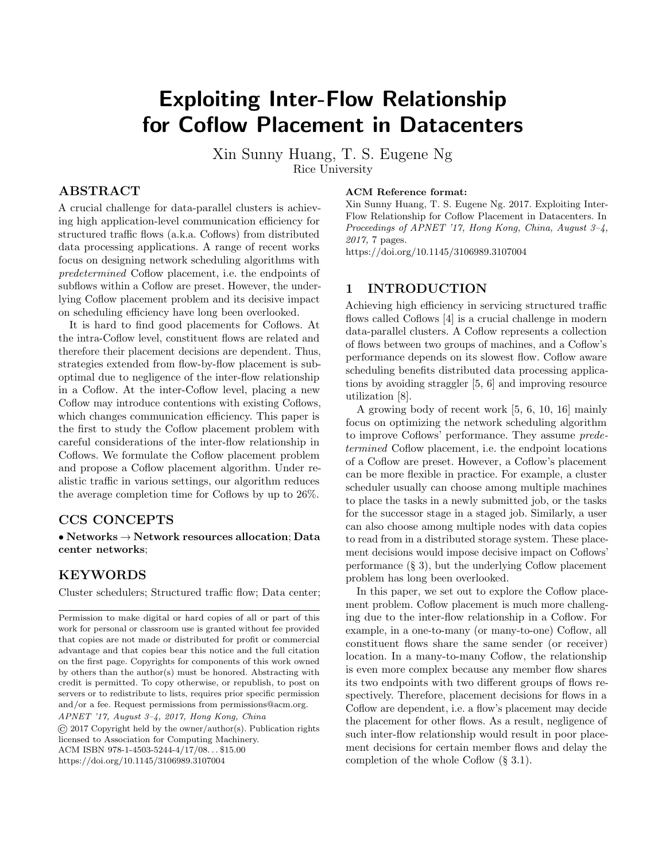# Exploiting Inter-Flow Relationship for Coflow Placement in Datacenters

Xin Sunny Huang, T. S. Eugene Ng Rice University

# ABSTRACT

A crucial challenge for data-parallel clusters is achieving high application-level communication efficiency for structured traffic flows (a.k.a. Coflows) from distributed data processing applications. A range of recent works focus on designing network scheduling algorithms with predetermined Cofow placement, i.e. the endpoints of subflows within a Coflow are preset. However, the underlying Cofow placement problem and its decisive impact on scheduling efficiency have long been overlooked.

It is hard to fnd good placements for Cofows. At the intra-Cofow level, constituent fows are related and therefore their placement decisions are dependent. Thus, strategies extended from fow-by-fow placement is suboptimal due to negligence of the inter-fow relationship in a Cofow. At the inter-Cofow level, placing a new Coflow may introduce contentions with existing Coflows, which changes communication efficiency. This paper is the frst to study the Cofow placement problem with careful considerations of the inter-fow relationship in Coflows. We formulate the Coflow placement problem and propose a Cofow placement algorithm. Under realistic traffic in various settings, our algorithm reduces the average completion time for Coflows by up to  $26\%$ .

# CCS CONCEPTS

• Networks  $\rightarrow$  Network resources allocation; Data center networks;

# KEYWORDS

Cluster schedulers; Structured traffic flow; Data center;

© 2017 Copyright held by the owner/author(s). Publication rights licensed to Association for Computing Machinery. ACM ISBN 978-1-4503-5244-4/17/08. . . \$15.00 <https://doi.org/10.1145/3106989.3107004>

#### ACM Reference format:

Xin Sunny Huang, T. S. Eugene Ng. 2017. Exploiting Inter-Flow Relationship for Coflow Placement in Datacenters. In Proceedings of APNET '17, Hong Kong, China, August 3–4, 2017, [7](#page-6-0) pages.

<https://doi.org/10.1145/3106989.3107004>

## 1 INTRODUCTION

Achieving high efficiency in servicing structured traffic flows called Coflows [\[4\]](#page-6-1) is a crucial challenge in modern data-parallel clusters. A Cofow represents a collection of fows between two groups of machines, and a Cofow's performance depends on its slowest fow. Cofow aware scheduling benefts distributed data processing applications by avoiding straggler [\[5,](#page-6-2) [6\]](#page-6-3) and improving resource utilization [\[8\]](#page-6-4).

A growing body of recent work [\[5,](#page-6-2) [6,](#page-6-3) [10,](#page-6-5) [16\]](#page-6-6) mainly focus on optimizing the network scheduling algorithm to improve Coflows' performance. They assume predetermined Cofow placement, i.e. the endpoint locations of a Cofow are preset. However, a Cofow's placement can be more fexible in practice. For example, a cluster scheduler usually can choose among multiple machines to place the tasks in a newly submitted job, or the tasks for the successor stage in a staged job. Similarly, a user can also choose among multiple nodes with data copies to read from in a distributed storage system. These placement decisions would impose decisive impact on Cofows' performance  $(\S 3)$  $(\S 3)$ , but the underlying Coflow placement problem has long been overlooked.

In this paper, we set out to explore the Cofow placement problem. Coflow placement is much more challenging due to the inter-fow relationship in a Cofow. For example, in a one-to-many (or many-to-one) Coflow, all constituent fows share the same sender (or receiver) location. In a many-to-many Coflow, the relationship is even more complex because any member fow shares its two endpoints with two diferent groups of fows respectively. Therefore, placement decisions for fows in a Coflow are dependent, i.e. a flow's placement may decide the placement for other fows. As a result, negligence of such inter-fow relationship would result in poor placement decisions for certain member fows and delay the completion of the whole Cofow (§ [3.1\)](#page-2-0).

Permission to make digital or hard copies of all or part of this work for personal or classroom use is granted without fee provided that copies are not made or distributed for proft or commercial advantage and that copies bear this notice and the full citation on the frst page. Copyrights for components of this work owned by others than the author(s) must be honored. Abstracting with credit is permitted. To copy otherwise, or republish, to post on servers or to redistribute to lists, requires prior specifc permission and/or a fee. Request permissions from permissions@acm.org. APNET '17, August 3–4, 2017, Hong Kong, China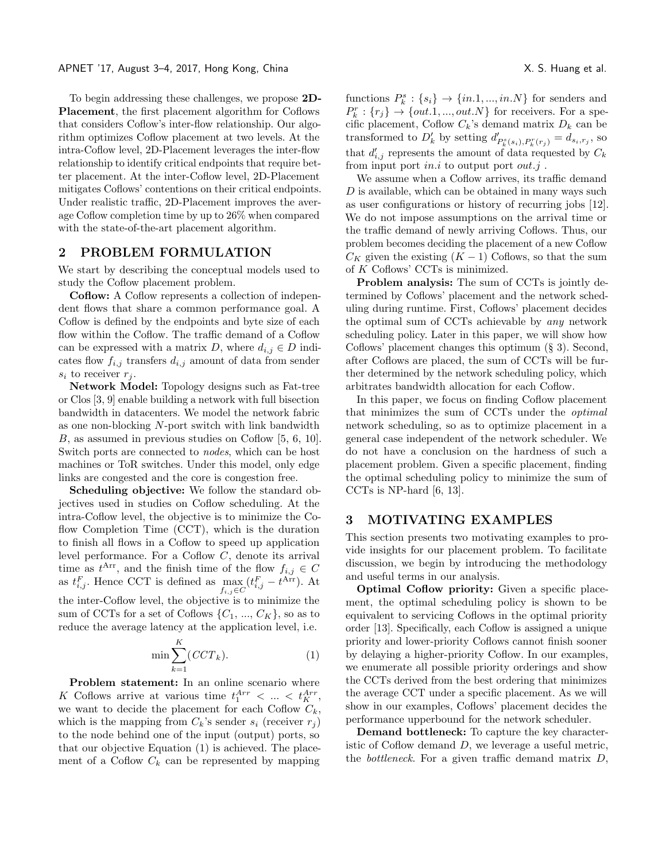To begin addressing these challenges, we propose 2D-Placement, the frst placement algorithm for Cofows that considers Coflow's inter-flow relationship. Our algorithm optimizes Coflow placement at two levels. At the intra-Cofow level, 2D-Placement leverages the inter-fow relationship to identify critical endpoints that require better placement. At the inter-Cofow level, 2D-Placement mitigates Coflows' contentions on their critical endpoints. Under realistic traffic, 2D-Placement improves the average Cofow completion time by up to 26% when compared with the state-of-the-art placement algorithm.

#### 2 PROBLEM FORMULATION

We start by describing the conceptual models used to study the Cofow placement problem.

Coflow: A Coflow represents a collection of independent fows that share a common performance goal. A Coflow is defined by the endpoints and byte size of each flow within the Coflow. The traffic demand of a Coflow can be expressed with a matrix D, where  $d_{i,j} \in D$  indicates flow  $f_{i,j}$  transfers  $d_{i,j}$  amount of data from sender  $s_i$  to receiver  $r_i$ .

Network Model: Topology designs such as Fat-tree or Clos [\[3,](#page-6-7) [9\]](#page-6-8) enable building a network with full bisection bandwidth in datacenters. We model the network fabric as one non-blocking  $N$ -port switch with link bandwidth  $B$ , as assumed in previous studies on Coflow [\[5,](#page-6-2) [6,](#page-6-3) [10\]](#page-6-5). Switch ports are connected to nodes, which can be host machines or ToR switches. Under this model, only edge links are congested and the core is congestion free.

Scheduling objective: We follow the standard objectives used in studies on Cofow scheduling. At the intra-Cofow level, the objective is to minimize the Cofow Completion Time (CCT), which is the duration to fnish all fows in a Cofow to speed up application level performance. For a Coflow  $C$ , denote its arrival time as  $t^{\text{Arr}}$ , and the finish time of the flow  $f_{i,j} \in C$ as  $t_{i,j}^F$ . Hence CCT is defined as  $\max_{f_{i,j} \in C} (t_{i,j}^F - t^{\text{Air}})$ . At the inter-Cofow level, the objective is to minimize the sum of CCTs for a set of Coflows  $\{C_1, ..., C_K\}$ , so as to reduce the average latency at the application level, i.e.

<span id="page-1-1"></span>
$$
\min \sum_{k=1}^{K} (CCT_k). \tag{1}
$$

Problem statement: In an online scenario where K Coflows arrive at various time  $t_1^{Arr} < ... < t_K^{Arr}$ , we want to decide the placement for each Coflow  $C_k$ , which is the mapping from  $C_k$ 's sender  $s_i$  (receiver  $r_i$ ) to the node behind one of the input (output) ports, so that our objective Equation [\(1\)](#page-1-1) is achieved. The placement of a Coflow  $C_k$  can be represented by mapping

functions  $P_k^s : \{s_i\} \to \{in.1, ..., in.N\}$  for senders and  $P_k^r: \{r_j\} \rightarrow \{out.1, ..., out.N\}$  for receivers. For a specific placement, Coflow $\mathcal{C}_k$ 's demand matrix  $\mathcal{D}_k$  can be transformed to  $D'_k$  by setting  $d'_{P^s_k(s_i), P^r_k(r_j)} = d_{s_i, r_j}$ , so that  $d'_{i,j}$  represents the amount of data requested by  $C_k$ from input port *in.i* to output port *out.j*.

We assume when a Coflow arrives, its traffic demand  $D$  is available, which can be obtained in many ways such as user confgurations or history of recurring jobs [\[12\]](#page-6-9). We do not impose assumptions on the arrival time or the traffic demand of newly arriving Coflows. Thus, our problem becomes deciding the placement of a new Cofow  $C_K$  given the existing  $(K-1)$  Coflows, so that the sum of  $K$  Coflows' CCTs is minimized.

Problem analysis: The sum of CCTs is jointly determined by Cofows' placement and the network scheduling during runtime. First, Cofows' placement decides the optimal sum of CCTs achievable by any network scheduling policy. Later in this paper, we will show how Coflows' placement changes this optimum  $(\S 3)$  $(\S 3)$ . Second, after Cofows are placed, the sum of CCTs will be further determined by the network scheduling policy, which arbitrates bandwidth allocation for each Cofow.

In this paper, we focus on fnding Cofow placement that minimizes the sum of CCTs under the optimal network scheduling, so as to optimize placement in a general case independent of the network scheduler. We do not have a conclusion on the hardness of such a placement problem. Given a specifc placement, fnding the optimal scheduling policy to minimize the sum of CCTs is NP-hard [\[6,](#page-6-3) [13\]](#page-6-10).

# <span id="page-1-0"></span>3 MOTIVATING EXAMPLES

This section presents two motivating examples to provide insights for our placement problem. To facilitate discussion, we begin by introducing the methodology and useful terms in our analysis.

Optimal Coflow priority: Given a specific placement, the optimal scheduling policy is shown to be equivalent to servicing Cofows in the optimal priority order [\[13\]](#page-6-10). Specifcally, each Cofow is assigned a unique priority and lower-priority Cofows cannot fnish sooner by delaying a higher-priority Cofow. In our examples, we enumerate all possible priority orderings and show the CCTs derived from the best ordering that minimizes the average CCT under a specifc placement. As we will show in our examples, Coflows' placement decides the performance upperbound for the network scheduler.

Demand bottleneck: To capture the key characteristic of Coflow demand  $D$ , we leverage a useful metric, the *bottleneck*. For a given traffic demand matrix  $D$ ,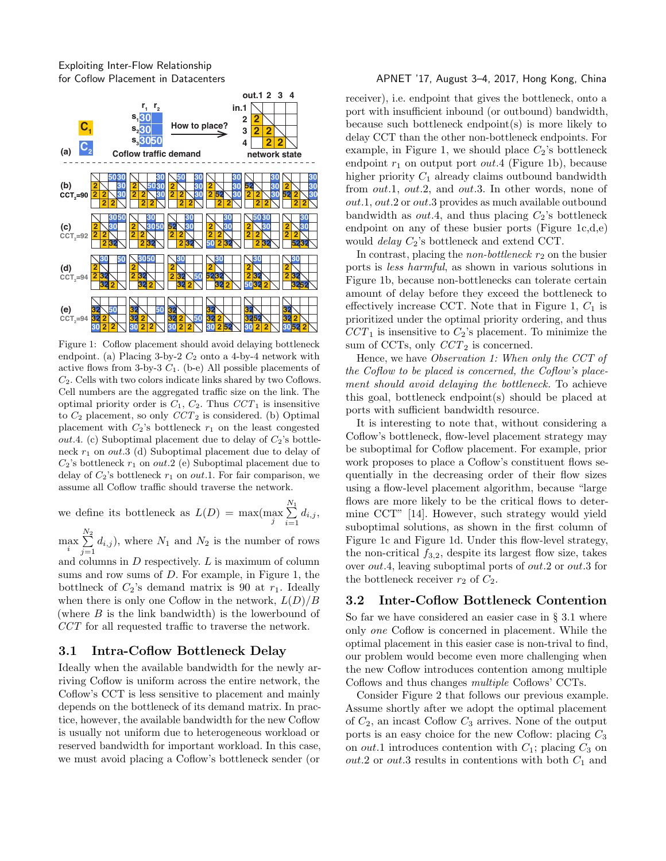Exploiting Inter-Flow Relationship

#### <span id="page-2-1"></span> $\mathbf{C}_2$  $\mathbf{C}_1$ **s3 3050**  $r_1$  **r**<sub>2</sub> **s1 30 s230 How to place? (a) Coflow traffic demand network state 2 2 22 out.1 2 3 4 in.1 23 4 2 2 2 2 2 2 30 30 30 50 2 2 2 2 2 30 30 30 50 2 2 2 2 2 30 30 30 50 2 2 2 2 30 30 30 52 2 2 2 52 2 30 30 30 52 2 2 2 2 30 30 30 2 2 2 2 32 30 30 50 2 2 2 2 32 30 30 50 2 2 52 2 32 30 30 2 2 2 2 32 30 3050 2 2 2 2 32 30 30 52 2 2 2 2 32 30 30 50 3050 2 32 2 32 2 2 32 2 32 2 30 50 2 32 2 32 2 50 30 30 32 2 32 2 52 50 32 2 32 2 2 30 32 2 3252 2 30 32 2 32 2 2 50 30 30 32 2 32 2 2 50 30 32 2 32 2 2 50 30 30 32 32 2 2 52 30 30 32 32 52 2 2 30 32 2 32 2 52 (b) (c) (d) (e) CCT2=90 CCT2=92 CCT2=94 CCT2=94**

Figure 1: Cofow placement should avoid delaying bottleneck endpoint. (a) Placing  $3$ -by- $2C_2$  onto a 4-by-4 network with active flows from 3-by-3  $C_1$ . (b-e) All possible placements of  $C_2$ . Cells with two colors indicate links shared by two Coflows. Cell numbers are the aggregated traffic size on the link. The optimal priority order is  $C_1, C_2$ . Thus  $CCT_1$  is insensitive to  $C_2$  placement, so only  $CCT_2$  is considered. (b) Optimal placement with  $C_2$ 's bottleneck  $r_1$  on the least congested *out.* 4. (c) Suboptimal placement due to delay of  $C_2$ 's bottleneck  $r_1$  on out 3 (d) Suboptimal placement due to delay of  $C_2$ 's bottleneck  $r_1$  on  $out.2$  (e) Suboptimal placement due to delay of  $C_2$ 's bottleneck  $r_1$  on *out*. 1. For fair comparison, we assume all Coflow traffic should traverse the network.

we define its bottleneck as  $L(D) = \max(\max_{j} \sum_{i=1}^{N_1}$  $\sum_{i=1} d_{i,j},$ 

 $\max_i \sum_{i=1}^{N_2}$  $\sum_{j=1} d_{i,j}$ , where  $N_1$  and  $N_2$  is the number of rows and columns in  $D$  respectively.  $L$  is maximum of column

sums and row sums of  $D$ . For example, in Figure [1,](#page-2-1) the bottlneck of  $C_2$ 's demand matrix is 90 at  $r_1$ . Ideally when there is only one Coflow in the network,  $L(D)/B$ (where  $B$  is the link bandwidth) is the lowerbound of  $CCT$  for all requested traffic to traverse the network.

#### <span id="page-2-0"></span>3.1 Intra-Coflow Bottleneck Delay

Ideally when the available bandwidth for the newly arriving Coflow is uniform across the entire network, the Coflow's CCT is less sensitive to placement and mainly depends on the bottleneck of its demand matrix. In practice, however, the available bandwidth for the new Cofow is usually not uniform due to heterogeneous workload or reserved bandwidth for important workload. In this case, we must avoid placing a Coflow's bottleneck sender (or

for Coflow Placement in Datacenters **APNET** '17, August 3-4, 2017, Hong Kong, China

receiver), i.e. endpoint that gives the bottleneck, onto a port with insufficient inbound (or outbound) bandwidth, because such bottleneck endpoint(s) is more likely to delay CCT than the other non-bottleneck endpoints. For example, in Figure [1,](#page-2-1) we should place  $C_2$ 's bottleneck endpoint  $r_1$  on output port *out*. 4 (Figure [1b](#page-2-1)), because higher priority  $C_1$  already claims outbound bandwidth from  $out.1$ ,  $out.2$ , and  $out.3$ . In other words, none of  $out.1, out.2$  or  $out.3$  provides as much available outbound bandwidth as *out.*4, and thus placing  $C_2$ 's bottleneck endpoint on any of these busier ports (Figure [1c](#page-2-1),d,e) would *delay*  $C_2$ 's bottleneck and extend CCT.

In contrast, placing the *non-bottleneck*  $r_2$  on the busier ports is less harmful, as shown in various solutions in Figure [1b](#page-2-1), because non-bottlenecks can tolerate certain amount of delay before they exceed the bottleneck to effectively increase CCT. Note that in Figure [1,](#page-2-1)  $C_1$  is prioritized under the optimal priority ordering, and thus  $CCT_1$  is insensitive to  $C_2$ 's placement. To minimize the sum of CCTs, only  $CCT_2$  is concerned.

Hence, we have Observation 1: When only the CCT of the Coflow to be placed is concerned, the Coflow's placement should avoid delaying the bottleneck. To achieve this goal, bottleneck endpoint(s) should be placed at ports with sufficient bandwidth resource.

It is interesting to note that, without considering a Coflow's bottleneck, flow-level placement strategy may be suboptimal for Cofow placement. For example, prior work proposes to place a Coflow's constituent flows sequentially in the decreasing order of their fow sizes using a fow-level placement algorithm, because "large flows are more likely to be the critical flows to determine CCT" [\[14\]](#page-6-11). However, such strategy would yield suboptimal solutions, as shown in the frst column of Figure [1c](#page-2-1) and Figure [1d](#page-2-1). Under this fow-level strategy, the non-critical  $f_{3,2}$ , despite its largest flow size, takes over out.4, leaving suboptimal ports of out.2 or out.3 for the bottleneck receiver  $r_2$  of  $C_2$ .

### 3.2 Inter-Cofow Bottleneck Contention

So far we have considered an easier case in  $\S 3.1$  $\S 3.1$  where only *one* Coflow is concerned in placement. While the optimal placement in this easier case is non-trival to fnd, our problem would become even more challenging when the new Cofow introduces contention among multiple Coflows and thus changes *multiple* Coflows' CCTs.

Consider Figure [2](#page-3-0) that follows our previous example. Assume shortly after we adopt the optimal placement of  $C_2$ , an incast Coflow  $C_3$  arrives. None of the output ports is an easy choice for the new Coflow: placing  $C_3$ on *out*.1 introduces contention with  $C_1$ ; placing  $C_3$  on out.2 or out.3 results in contentions with both  $C_1$  and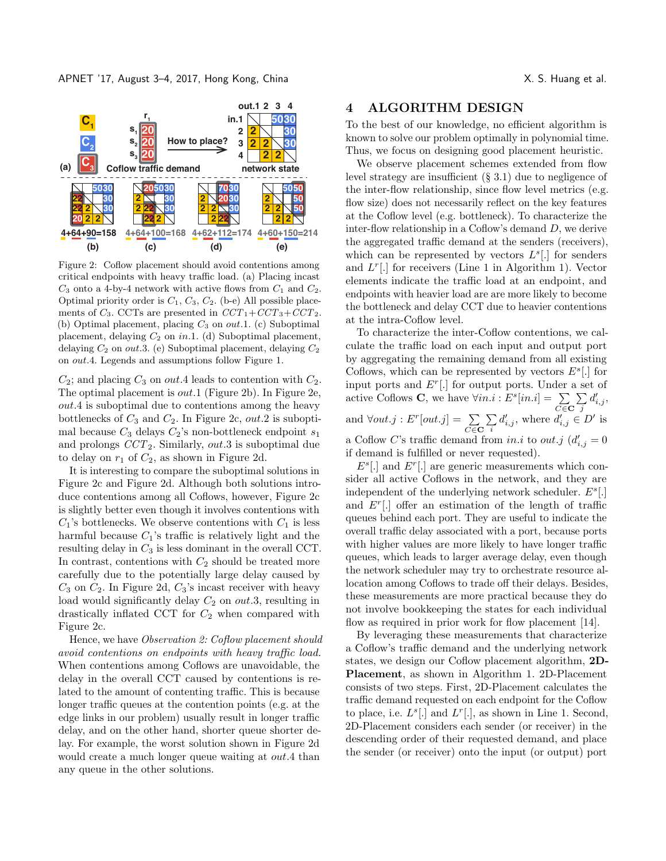APNET '17, August 3–4, 2017, Hong Kong, China X. S. Huang et al.

<span id="page-3-0"></span>

Figure 2: Coflow placement should avoid contentions among critical endpoints with heavy traffic load. (a) Placing incast  $C_3$  onto a 4-by-4 network with active flows from  $C_1$  and  $C_2$ . Optimal priority order is  $C_1, C_3, C_2$ . (b-e) All possible placements of  $C_3$ . CCTs are presented in  $CCT_1+CCT_3+CCT_2$ . (b) Optimal placement, placing  $C_3$  on out. 1. (c) Suboptimal placement, delaying  $C_2$  on in.1. (d) Suboptimal placement, delaying  $C_2$  on out 3. (e) Suboptimal placement, delaying  $C_2$ on *out*.4. Legends and assumptions follow Figure [1.](#page-2-1)

 $C_2$ ; and placing  $C_3$  on *out*. 4 leads to contention with  $C_2$ . The optimal placement is *out*.1 (Figure [2b](#page-3-0)). In Figure [2e](#page-3-0),  $out.4$  is suboptimal due to contentions among the heavy bottlenecks of  $C_3$  and  $C_2$ . In Figure [2c](#page-3-0), out.2 is suboptimal because  $C_3$  delays  $C_2$ 's non-bottleneck endpoint  $s_1$ and prolongs  $CCT_2$ . Similarly, out 3 is suboptimal due to delay on  $r_1$  of  $C_2$ , as shown in Figure [2d](#page-3-0).

It is interesting to compare the suboptimal solutions in Figure [2c](#page-3-0) and Figure [2d](#page-3-0). Although both solutions intro-duce contentions among all Coflows, however, Figure [2c](#page-3-0) is slightly better even though it involves contentions with  $C_1$ 's bottlenecks. We observe contentions with  $C_1$  is less harmful because  $C_1$ 's traffic is relatively light and the resulting delay in  $C_3$  is less dominant in the overall CCT. In contrast, contentions with  $C_2$  should be treated more carefully due to the potentially large delay caused by  $C_3$  on  $C_2$ . In Figure [2d](#page-3-0),  $C_3$ 's incast receiver with heavy load would significantly delay  $C_2$  on  $out.3$ , resulting in drastically inflated CCT for  $C_2$  when compared with Figure [2c](#page-3-0).

Hence, we have *Observation 2: Coflow placement should* avoid contentions on endpoints with heavy traffic load. When contentions among Coflows are unavoidable, the delay in the overall CCT caused by contentions is related to the amount of contenting traffic. This is because longer traffic queues at the contention points (e.g. at the edge links in our problem) usually result in longer traffic delay, and on the other hand, shorter queue shorter delay. For example, the worst solution shown in Figure [2d](#page-3-0) would create a much longer queue waiting at *out*. 4 than any queue in the other solutions.

### 4 ALGORITHM DESIGN

To the best of our knowledge, no efficient algorithm is known to solve our problem optimally in polynomial time. Thus, we focus on designing good placement heuristic.

We observe placement schemes extended from flow level strategy are insufficient  $(\S 3.1)$  $(\S 3.1)$  due to negligence of the inter-fow relationship, since fow level metrics (e.g. fow size) does not necessarily refect on the key features at the Cofow level (e.g. bottleneck). To characterize the inter-flow relationship in a Coflow's demand  $D$ , we derive the aggregated traffic demand at the senders (receivers), which can be represented by vectors  $L^{s}$ [.] for senders and  $L^r$ [.] for receivers (Line [1](#page-4-0) in Algorithm [1\)](#page-4-0). Vector elements indicate the traffic load at an endpoint, and endpoints with heavier load are are more likely to become the bottleneck and delay CCT due to heavier contentions at the intra-Cofow level.

To characterize the inter-Cofow contentions, we calculate the traffic load on each input and output port by aggregating the remaining demand from all existing Coflows, which can be represented by vectors  $E^s[.]$  for input ports and  $E^r$ . for output ports. Under a set of active Coflows **C**, we have  $\forall in.i : E^s[i n.i] = \sum$  $C \in {\bf C}$ ∑ j  $d'_{i,j}$ and  $\forall out. j : E^r[out. j] = \sum$  $C \in \mathbf{C}$ ∑  $\dot{i}$  $d'_{i,j}$ , where  $d'_{i,j} \in D'$  is a Coflow C's traffic demand from *in.i* to *out.j*  $(d'_{i,j} = 0)$ if demand is fulflled or never requested).

 $E<sup>s</sup>[.]$  and  $E<sup>r</sup>[.]$  are generic measurements which consider all active Coflows in the network, and they are independent of the underlying network scheduler.  $E^{s}$ . and  $E^r$ [.] offer an estimation of the length of traffic queues behind each port. They are useful to indicate the overall traffic delay associated with a port, because ports with higher values are more likely to have longer traffic queues, which leads to larger average delay, even though the network scheduler may try to orchestrate resource allocation among Coflows to trade off their delays. Besides, these measurements are more practical because they do not involve bookkeeping the states for each individual flow as required in prior work for flow placement [\[14\]](#page-6-11).

By leveraging these measurements that characterize a Coflow's traffic demand and the underlying network states, we design our Coflow placement algorithm, 2D-Placement, as shown in Algorithm [1.](#page-4-0) 2D-Placement consists of two steps. First, 2D-Placement calculates the traffic demand requested on each endpoint for the Coflow to place, i.e.  $L^{s}[.]$  and  $L^{r}[.]$ , as shown in Line [1.](#page-4-0) Second, 2D-Placement considers each sender (or receiver) in the descending order of their requested demand, and place the sender (or receiver) onto the input (or output) port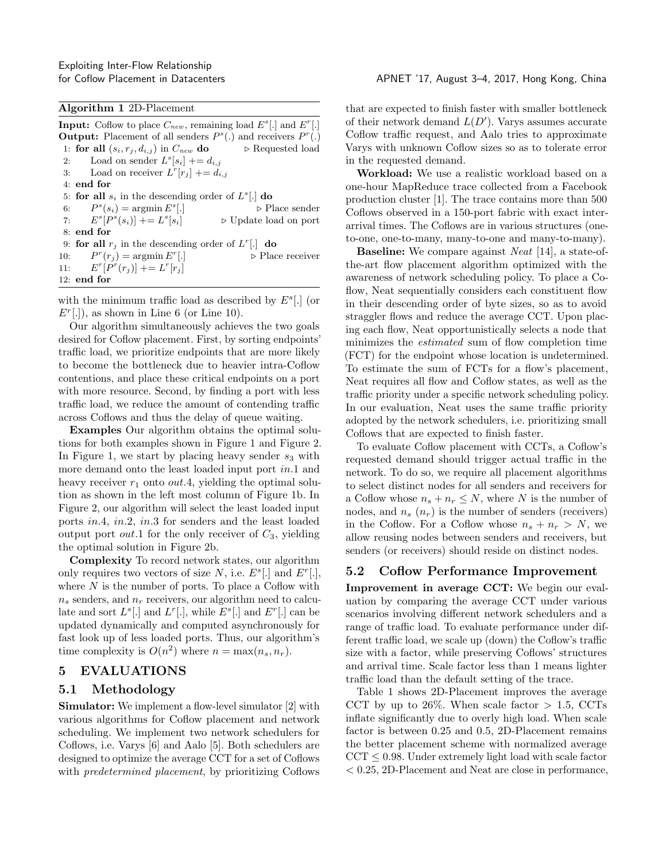<span id="page-4-0"></span>Algorithm 1 2D-Placement

**Input:** Coflow to place  $C_{new}$ , remaining load  $E^s[.]$  and  $E^r[.]$ **Output:** Placement of all senders  $P^s(.)$  and receivers  $P^r(.)$ 1: **for all**  $(s_i, r_j, d_{i,j})$  in  $C_{new}$  **do**  $\triangleright$  Requested load 2: Load on sender  $L^s[s_i]$  +=  $d_{i,j}$ 3: Load on receiver  $L^r[r_j] \rightarrow = d_{i,j}$ 4: end for 5: for all  $s_i$  in the descending order of  $L^s[.]$  do 6:  $s(s_i) = \operatorname{argmin} E^s$  $\triangleright$  Place sender 7:  $E^s[P^s(s_i)] += L^s$  $\triangleright$  Update load on port 8: end for 9: for all  $r_j$  in the descending order of  $L^r[.]$  do 10:  $f(r_j) = \operatorname{argmin} E^r$  $\triangleright$  Place receiver 11:  $T[P^{r}(r_j)] == L^{r}[r_j]$ 12: end for

with the minimum traffic load as described by  $E^s$ . (or  $E^r[.]$ , as shown in Line [6](#page-4-0) (or Line [10\)](#page-4-0).

Our algorithm simultaneously achieves the two goals desired for Coflow placement. First, by sorting endpoints' traffic load, we prioritize endpoints that are more likely to become the bottleneck due to heavier intra-Coflow contentions, and place these critical endpoints on a port with more resource. Second, by fnding a port with less traffic load, we reduce the amount of contending traffic across Cofows and thus the delay of queue waiting.

Examples Our algorithm obtains the optimal solutions for both examples shown in Figure [1](#page-2-1) and Figure [2.](#page-3-0) In Figure [1,](#page-2-1) we start by placing heavy sender  $s_3$  with more demand onto the least loaded input port  $in.1$  and heavy receiver  $r_1$  onto *out*.4, yielding the optimal solution as shown in the left most column of Figure [1b](#page-2-1). In Figure [2,](#page-3-0) our algorithm will select the least loaded input ports in 4, in 2, in 3 for senders and the least loaded output port *out*.1 for the only receiver of  $C_3$ , yielding the optimal solution in Figure [2b](#page-3-0).

Complexity To record network states, our algorithm only requires two vectors of size N, i.e.  $E^s[.]$  and  $E^r[.]$ , where  $N$  is the number of ports. To place a Coflow with  $n_s$  senders, and  $n_r$  receivers, our algorithm need to calculate and sort  $L^s[.]$  and  $L^r[.]$ , while  $E^s[.]$  and  $E^r[.]$  can be updated dynamically and computed asynchronously for fast look up of less loaded ports. Thus, our algorithm's time complexity is  $O(n^2)$  where  $n = \max(n_s, n_r)$ .

# 5 EVALUATIONS

#### 5.1 Methodology

Simulator: We implement a fow-level simulator [\[2\]](#page-6-12) with various algorithms for Cofow placement and network scheduling. We implement two network schedulers for Coflows, i.e. Varys [\[6\]](#page-6-3) and Aalo [\[5\]](#page-6-2). Both schedulers are designed to optimize the average CCT for a set of Coflows with *predetermined placement*, by prioritizing Coflows

that are expected to fnish faster with smaller bottleneck of their network demand  $L(D')$ . Varys assumes accurate Coflow traffic request, and Aalo tries to approximate Varys with unknown Cofow sizes so as to tolerate error in the requested demand.

Workload: We use a realistic workload based on a one-hour MapReduce trace collected from a Facebook production cluster [\[1\]](#page-6-13). The trace contains more than 500 Coflows observed in a 150-port fabric with exact interarrival times. The Cofows are in various structures (oneto-one, one-to-many, many-to-one and many-to-many).

**Baseline:** We compare against *Neat* [\[14\]](#page-6-11), a state-ofthe-art fow placement algorithm optimized with the awareness of network scheduling policy. To place a Coflow, Neat sequentially considers each constituent flow in their descending order of byte sizes, so as to avoid straggler fows and reduce the average CCT. Upon placing each fow, Neat opportunistically selects a node that minimizes the *estimated* sum of flow completion time (FCT) for the endpoint whose location is undetermined. To estimate the sum of FCTs for a flow's placement, Neat requires all fow and Cofow states, as well as the traffic priority under a specific network scheduling policy. In our evaluation, Neat uses the same traffic priority adopted by the network schedulers, i.e. prioritizing small Coflows that are expected to finish faster.

To evaluate Cofow placement with CCTs, a Cofow's requested demand should trigger actual traffic in the network. To do so, we require all placement algorithms to select distinct nodes for all senders and receivers for a Coflow whose  $n_s + n_r \leq N$ , where N is the number of nodes, and  $n_s$  ( $n_r$ ) is the number of senders (receivers) in the Coflow. For a Coflow whose  $n_s + n_r > N$ , we allow reusing nodes between senders and receivers, but senders (or receivers) should reside on distinct nodes.

# 5.2 Coflow Performance Improvement

Improvement in average CCT: We begin our evaluation by comparing the average CCT under various scenarios involving diferent network schedulers and a range of traffic load. To evaluate performance under different traffic load, we scale up (down) the Coflow's traffic size with a factor, while preserving Coflows' structures and arrival time. Scale factor less than 1 means lighter traffic load than the default setting of the trace.

Table [1](#page-5-0) shows 2D-Placement improves the average CCT by up to  $26\%$ . When scale factor  $> 1.5$ , CCTs infate signifcantly due to overly high load. When scale factor is between 0.25 and 0.5, 2D-Placement remains the better placement scheme with normalized average  $CCT < 0.98$ . Under extremely light load with scale factor < 0.25, 2D-Placement and Neat are close in performance,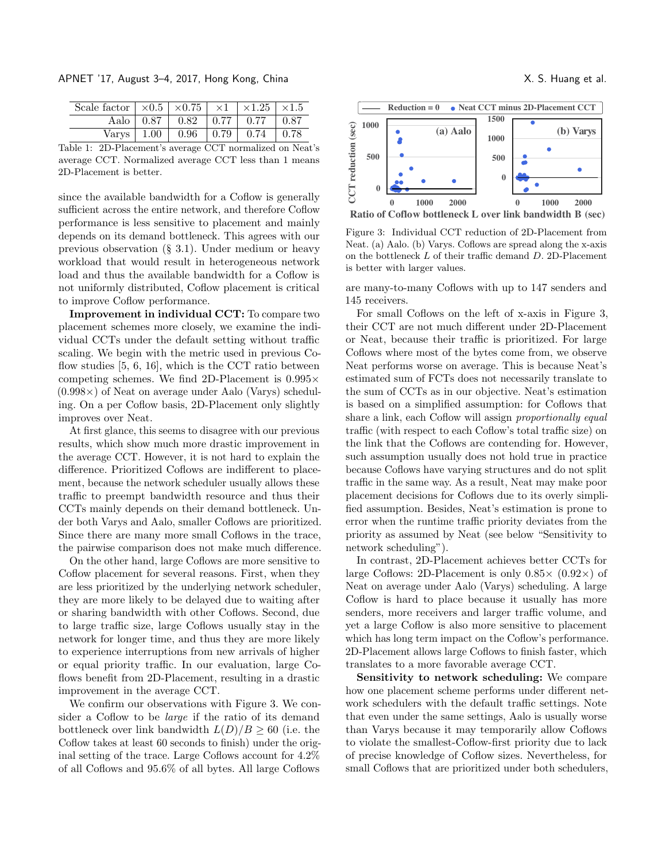APNET '17, August 3–4, 2017, Hong Kong, China X. S. Huang et al.

<span id="page-5-0"></span>

| Scale factor $\vert \times 0.5 \vert \times 0.75 \vert \times 1 \vert \times 1.25 \vert \times 1.5$ |                                                   |  |  |
|-----------------------------------------------------------------------------------------------------|---------------------------------------------------|--|--|
|                                                                                                     | Aalo   $0.87$   $0.82$   $0.77$   $0.77$   $0.87$ |  |  |
|                                                                                                     | Varys   1.00   0.96   0.79   0.74   0.78          |  |  |

Table 1: 2D-Placement's average CCT normalized on Neat's average CCT. Normalized average CCT less than 1 means 2D-Placement is better.

since the available bandwidth for a Coflow is generally sufficient across the entire network, and therefore Coflow performance is less sensitive to placement and mainly depends on its demand bottleneck. This agrees with our previous observation (§ [3.1\)](#page-2-0). Under medium or heavy workload that would result in heterogeneous network load and thus the available bandwidth for a Coflow is not uniformly distributed, Cofow placement is critical to improve Coflow performance.

Improvement in individual CCT: To compare two placement schemes more closely, we examine the individual CCTs under the default setting without traffic scaling. We begin with the metric used in previous Coflow studies  $[5, 6, 16]$  $[5, 6, 16]$  $[5, 6, 16]$  $[5, 6, 16]$  $[5, 6, 16]$ , which is the CCT ratio between competing schemes. We find 2D-Placement is  $0.995 \times$  $(0.998\times)$  of Neat on average under Aalo (Varys) scheduling. On a per Cofow basis, 2D-Placement only slightly improves over Neat.

At frst glance, this seems to disagree with our previous results, which show much more drastic improvement in the average CCT. However, it is not hard to explain the diference. Prioritized Cofows are indiferent to placement, because the network scheduler usually allows these traffic to preempt bandwidth resource and thus their CCTs mainly depends on their demand bottleneck. Under both Varys and Aalo, smaller Coflows are prioritized. Since there are many more small Coflows in the trace, the pairwise comparison does not make much diference.

On the other hand, large Coflows are more sensitive to Coflow placement for several reasons. First, when they are less prioritized by the underlying network scheduler, they are more likely to be delayed due to waiting after or sharing bandwidth with other Cofows. Second, due to large traffic size, large Coflows usually stay in the network for longer time, and thus they are more likely to experience interruptions from new arrivals of higher or equal priority traffic. In our evaluation, large Cofows beneft from 2D-Placement, resulting in a drastic improvement in the average CCT.

We confrm our observations with Figure [3.](#page-5-1) We consider a Coflow to be *large* if the ratio of its demand bottleneck over link bandwidth  $L(D)/B \geq 60$  (i.e. the Coflow takes at least 60 seconds to finish) under the original setting of the trace. Large Coflows account for  $4.2\%$ of all Cofows and 95.6% of all bytes. All large Cofows

<span id="page-5-1"></span>

Figure 3: Individual CCT reduction of 2D-Placement from Neat. (a) Aalo. (b) Varys. Coflows are spread along the x-axis on the bottleneck  $L$  of their traffic demand  $D$ . 2D-Placement is better with larger values.

are many-to-many Cofows with up to 147 senders and 145 receivers.

For small Coflows on the left of x-axis in Figure [3,](#page-5-1) their CCT are not much diferent under 2D-Placement or Neat, because their traffic is prioritized. For large Coflows where most of the bytes come from, we observe Neat performs worse on average. This is because Neat's estimated sum of FCTs does not necessarily translate to the sum of CCTs as in our objective. Neat's estimation is based on a simplifed assumption: for Cofows that share a link, each Coflow will assign proportionally equal traffic (with respect to each Coflow's total traffic size) on the link that the Cofows are contending for. However, such assumption usually does not hold true in practice because Cofows have varying structures and do not split traffic in the same way. As a result, Neat may make poor placement decisions for Cofows due to its overly simplifed assumption. Besides, Neat's estimation is prone to error when the runtime traffic priority deviates from the priority as assumed by Neat (see below "Sensitivity to network scheduling").

In contrast, 2D-Placement achieves better CCTs for large Coflows: 2D-Placement is only  $0.85 \times (0.92 \times)$  of Neat on average under Aalo (Varys) scheduling. A large Coflow is hard to place because it usually has more senders, more receivers and larger traffic volume, and yet a large Cofow is also more sensitive to placement which has long term impact on the Coflow's performance. 2D-Placement allows large Cofows to fnish faster, which translates to a more favorable average CCT.

Sensitivity to network scheduling: We compare how one placement scheme performs under diferent network schedulers with the default traffic settings. Note that even under the same settings, Aalo is usually worse than Varys because it may temporarily allow Cofows to violate the smallest-Cofow-frst priority due to lack of precise knowledge of Cofow sizes. Nevertheless, for small Coflows that are prioritized under both schedulers,